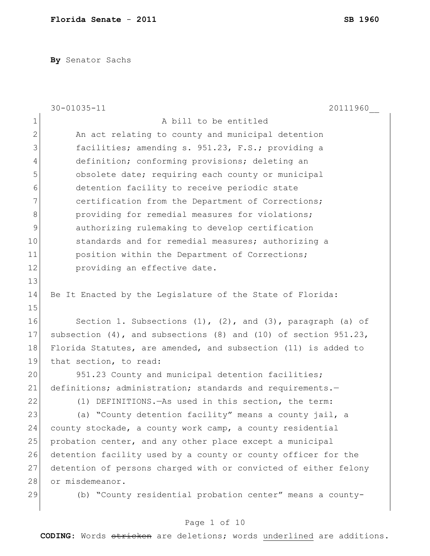**By** Senator Sachs

|             | 20111960<br>$30 - 01035 - 11$                                          |
|-------------|------------------------------------------------------------------------|
| $\mathbf 1$ | A bill to be entitled                                                  |
| $\mathbf 2$ | An act relating to county and municipal detention                      |
| 3           | facilities; amending s. 951.23, F.S.; providing a                      |
| 4           | definition; conforming provisions; deleting an                         |
| 5           | obsolete date; requiring each county or municipal                      |
| 6           | detention facility to receive periodic state                           |
| 7           | certification from the Department of Corrections;                      |
| 8           | providing for remedial measures for violations;                        |
| 9           | authorizing rulemaking to develop certification                        |
| 10          | standards and for remedial measures; authorizing a                     |
| 11          | position within the Department of Corrections;                         |
| 12          | providing an effective date.                                           |
| 13          |                                                                        |
| 14          | Be It Enacted by the Legislature of the State of Florida:              |
| 15          |                                                                        |
| 16          | Section 1. Subsections (1), (2), and (3), paragraph (a) of             |
| 17          | subsection $(4)$ , and subsections $(8)$ and $(10)$ of section 951.23, |
| 18          | Florida Statutes, are amended, and subsection (11) is added to         |
| 19          | that section, to read:                                                 |
| 20          | 951.23 County and municipal detention facilities;                      |
| 21          | definitions; administration; standards and requirements.-              |
| 22          | (1) DEFINITIONS. - As used in this section, the term:                  |
| 23          | (a) "County detention facility" means a county jail, a                 |
| 24          | county stockade, a county work camp, a county residential              |
| 25          | probation center, and any other place except a municipal               |
| 26          | detention facility used by a county or county officer for the          |
| 27          | detention of persons charged with or convicted of either felony        |
| 28          | or misdemeanor.                                                        |
| 29          | (b) "County residential probation center" means a county-              |

# Page 1 of 10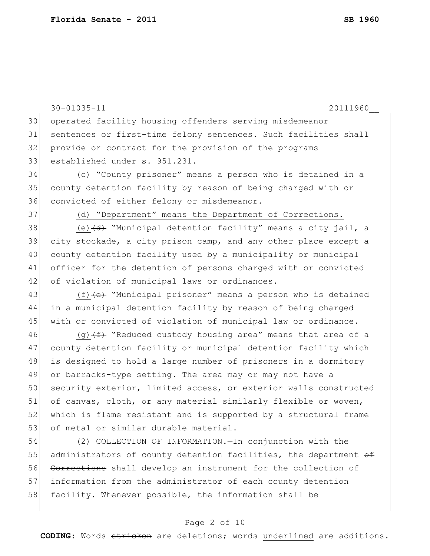30-01035-11 20111960\_\_ 30 operated facility housing offenders serving misdemeanor 31 sentences or first-time felony sentences. Such facilities shall 32 provide or contract for the provision of the programs 33 established under s. 951.231. 34 (c) "County prisoner" means a person who is detained in a 35 county detention facility by reason of being charged with or 36 convicted of either felony or misdemeanor. 37 (d) "Department" means the Department of Corrections. 38 (e)  $\left(\frac{d}{dt}\right)$  "Municipal detention facility" means a city jail, a 39 city stockade, a city prison camp, and any other place except a 40 county detention facility used by a municipality or municipal 41 officer for the detention of persons charged with or convicted 42 of violation of municipal laws or ordinances. 43  $(f)$  (f)  $\left\{e\right\}$  "Municipal prisoner" means a person who is detained 44 in a municipal detention facility by reason of being charged 45 with or convicted of violation of municipal law or ordinance. 46 (g)  $(f)$  "Reduced custody housing area" means that area of a 47 county detention facility or municipal detention facility which 48 is designed to hold a large number of prisoners in a dormitory 49 or barracks-type setting. The area may or may not have a 50 security exterior, limited access, or exterior walls constructed 51 of canvas, cloth, or any material similarly flexible or woven, 52 which is flame resistant and is supported by a structural frame 53 of metal or similar durable material. 54 (2) COLLECTION OF INFORMATION.—In conjunction with the 55 administrators of county detention facilities, the department  $\theta$ f 56 Corrections shall develop an instrument for the collection of 57 information from the administrator of each county detention 58 facility. Whenever possible, the information shall be

### Page 2 of 10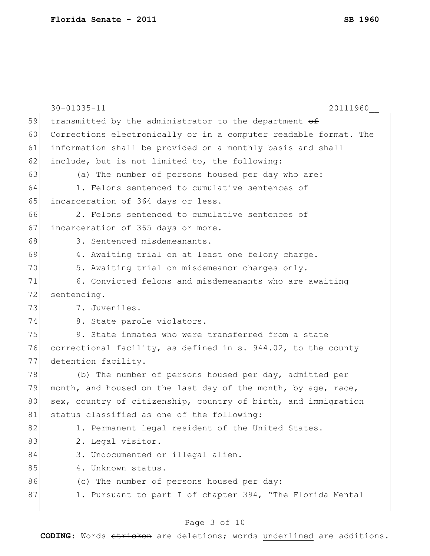|    | $30 - 01035 - 11$<br>20111960                                    |
|----|------------------------------------------------------------------|
| 59 | transmitted by the administrator to the department of            |
| 60 | Corrections electronically or in a computer readable format. The |
| 61 | information shall be provided on a monthly basis and shall       |
| 62 | include, but is not limited to, the following:                   |
| 63 | (a) The number of persons housed per day who are:                |
| 64 | 1. Felons sentenced to cumulative sentences of                   |
| 65 | incarceration of 364 days or less.                               |
| 66 | 2. Felons sentenced to cumulative sentences of                   |
| 67 | incarceration of 365 days or more.                               |
| 68 | 3. Sentenced misdemeanants.                                      |
| 69 | 4. Awaiting trial on at least one felony charge.                 |
| 70 | 5. Awaiting trial on misdemeanor charges only.                   |
| 71 | 6. Convicted felons and misdemeanants who are awaiting           |
| 72 | sentencing.                                                      |
| 73 | 7. Juveniles.                                                    |
| 74 | 8. State parole violators.                                       |
| 75 | 9. State inmates who were transferred from a state               |
| 76 | correctional facility, as defined in s. 944.02, to the county    |
| 77 | detention facility.                                              |
| 78 | (b) The number of persons housed per day, admitted per           |
| 79 | month, and housed on the last day of the month, by age, race,    |
| 80 | sex, country of citizenship, country of birth, and immigration   |
| 81 | status classified as one of the following:                       |
| 82 | 1. Permanent legal resident of the United States.                |
| 83 | 2. Legal visitor.                                                |
| 84 | 3. Undocumented or illegal alien.                                |
| 85 | 4. Unknown status.                                               |
| 86 | (c) The number of persons housed per day:                        |
| 87 | 1. Pursuant to part I of chapter 394, "The Florida Mental        |
|    |                                                                  |

## Page 3 of 10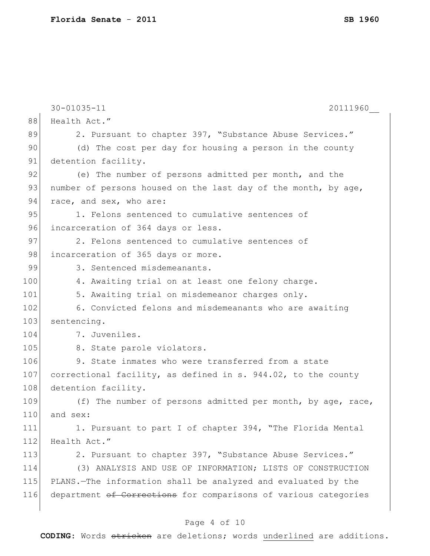|     | $30 - 01035 - 11$<br>20111960                                   |
|-----|-----------------------------------------------------------------|
| 88  | Health Act."                                                    |
| 89  | 2. Pursuant to chapter 397, "Substance Abuse Services."         |
| 90  | (d) The cost per day for housing a person in the county         |
| 91  | detention facility.                                             |
| 92  | (e) The number of persons admitted per month, and the           |
| 93  | number of persons housed on the last day of the month, by age,  |
| 94  | race, and sex, who are:                                         |
| 95  | 1. Felons sentenced to cumulative sentences of                  |
| 96  | incarceration of 364 days or less.                              |
| 97  | 2. Felons sentenced to cumulative sentences of                  |
| 98  | incarceration of 365 days or more.                              |
| 99  | 3. Sentenced misdemeanants.                                     |
| 100 | 4. Awaiting trial on at least one felony charge.                |
| 101 | 5. Awaiting trial on misdemeanor charges only.                  |
| 102 | 6. Convicted felons and misdemeanants who are awaiting          |
| 103 | sentencing.                                                     |
| 104 | 7. Juveniles.                                                   |
| 105 | 8. State parole violators.                                      |
| 106 | 9. State inmates who were transferred from a state              |
| 107 | correctional facility, as defined in s. 944.02, to the county   |
| 108 | detention facility.                                             |
| 109 | (f) The number of persons admitted per month, by age, race,     |
| 110 | and sex:                                                        |
| 111 | 1. Pursuant to part I of chapter 394, "The Florida Mental       |
| 112 | Health Act."                                                    |
| 113 | 2. Pursuant to chapter 397, "Substance Abuse Services."         |
| 114 | (3) ANALYSIS AND USE OF INFORMATION; LISTS OF CONSTRUCTION      |
| 115 | PLANS.-The information shall be analyzed and evaluated by the   |
| 116 | department of Corrections for comparisons of various categories |
|     |                                                                 |

## Page 4 of 10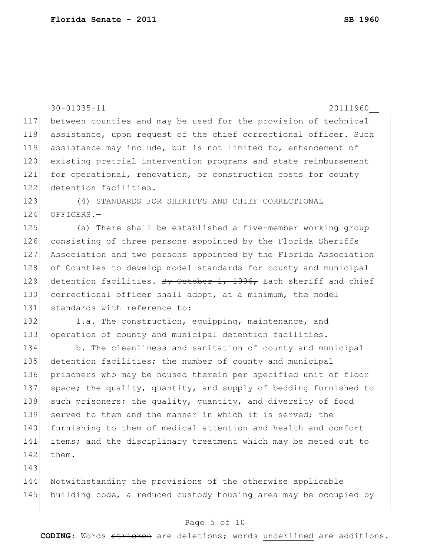30-01035-11 20111960\_\_ 117 between counties and may be used for the provision of technical 118 assistance, upon request of the chief correctional officer. Such 119 assistance may include, but is not limited to, enhancement of 120 existing pretrial intervention programs and state reimbursement 121 for operational, renovation, or construction costs for county 122 detention facilities. 123 (4) STANDARDS FOR SHERIFFS AND CHIEF CORRECTIONAL 124 OFFICERS.-125 (a) There shall be established a five-member working group 126 consisting of three persons appointed by the Florida Sheriffs 127 Association and two persons appointed by the Florida Association 128 of Counties to develop model standards for county and municipal 129 detention facilities. By October 1, 1996, Each sheriff and chief 130 correctional officer shall adopt, at a minimum, the model 131 standards with reference to: 132 1.a. The construction, equipping, maintenance, and 133 operation of county and municipal detention facilities. 134 b. The cleanliness and sanitation of county and municipal 135 detention facilities; the number of county and municipal 136 prisoners who may be housed therein per specified unit of floor 137 space; the quality, quantity, and supply of bedding furnished to 138 such prisoners; the quality, quantity, and diversity of food 139 served to them and the manner in which it is served; the 140 furnishing to them of medical attention and health and comfort 141 items; and the disciplinary treatment which may be meted out to  $142$  them. 143 144 Notwithstanding the provisions of the otherwise applicable 145 building code, a reduced custody housing area may be occupied by

#### Page 5 of 10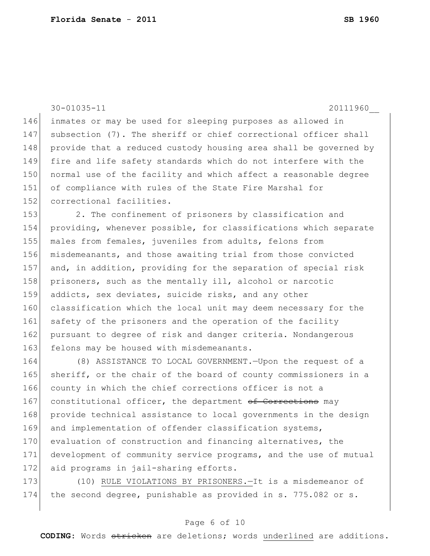30-01035-11 20111960\_\_

146 inmates or may be used for sleeping purposes as allowed in 147 subsection (7). The sheriff or chief correctional officer shall 148 provide that a reduced custody housing area shall be governed by 149 fire and life safety standards which do not interfere with the 150 normal use of the facility and which affect a reasonable degree 151 of compliance with rules of the State Fire Marshal for 152 correctional facilities.

153 2. The confinement of prisoners by classification and 154 providing, whenever possible, for classifications which separate 155 males from females, juveniles from adults, felons from 156 misdemeanants, and those awaiting trial from those convicted 157 and, in addition, providing for the separation of special risk 158 prisoners, such as the mentally ill, alcohol or narcotic 159 addicts, sex deviates, suicide risks, and any other 160 classification which the local unit may deem necessary for the 161 safety of the prisoners and the operation of the facility 162 pursuant to degree of risk and danger criteria. Nondangerous 163 felons may be housed with misdemeanants.

164 (8) ASSISTANCE TO LOCAL GOVERNMENT.—Upon the request of a 165 sheriff, or the chair of the board of county commissioners in a 166 county in which the chief corrections officer is not a 167 constitutional officer, the department of Corrections may 168 provide technical assistance to local governments in the design 169 and implementation of offender classification systems, 170 evaluation of construction and financing alternatives, the 171 development of community service programs, and the use of mutual 172 aid programs in jail-sharing efforts.

173 (10) RULE VIOLATIONS BY PRISONERS. - It is a misdemeanor of 174 the second degree, punishable as provided in s. 775.082 or s.

### Page 6 of 10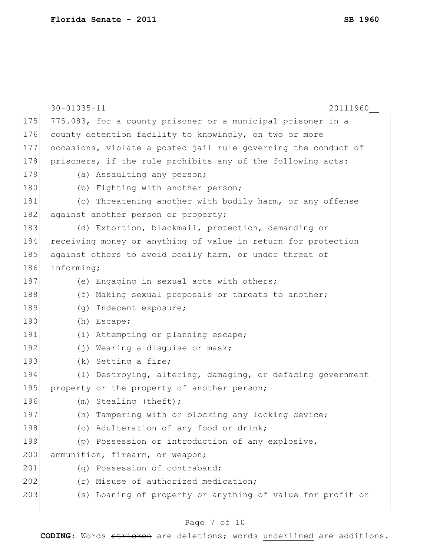|     | $30 - 01035 - 11$<br>20111960                                  |
|-----|----------------------------------------------------------------|
| 175 | 775.083, for a county prisoner or a municipal prisoner in a    |
| 176 | county detention facility to knowingly, on two or more         |
| 177 | occasions, violate a posted jail rule governing the conduct of |
| 178 | prisoners, if the rule prohibits any of the following acts:    |
| 179 | (a) Assaulting any person;                                     |
| 180 | (b) Fighting with another person;                              |
| 181 | (c) Threatening another with bodily harm, or any offense       |
| 182 | against another person or property;                            |
| 183 | (d) Extortion, blackmail, protection, demanding or             |
| 184 | receiving money or anything of value in return for protection  |
| 185 | against others to avoid bodily harm, or under threat of        |
| 186 | informing;                                                     |
| 187 | (e) Engaging in sexual acts with others;                       |
| 188 | (f) Making sexual proposals or threats to another;             |
| 189 | (g) Indecent exposure;                                         |
| 190 | (h) Escape;                                                    |
| 191 | (i) Attempting or planning escape;                             |
| 192 | (j) Wearing a disguise or mask;                                |
| 193 | (k) Setting a fire;                                            |
| 194 | (1) Destroying, altering, damaging, or defacing government     |
| 195 | property or the property of another person;                    |
| 196 | (m) Stealing (theft);                                          |
| 197 | (n) Tampering with or blocking any locking device;             |
| 198 | (o) Adulteration of any food or drink;                         |
| 199 | (p) Possession or introduction of any explosive,               |
| 200 | ammunition, firearm, or weapon;                                |
| 201 | (q) Possession of contraband;                                  |
| 202 | (r) Misuse of authorized medication;                           |
| 203 | (s) Loaning of property or anything of value for profit or     |
|     |                                                                |

## Page 7 of 10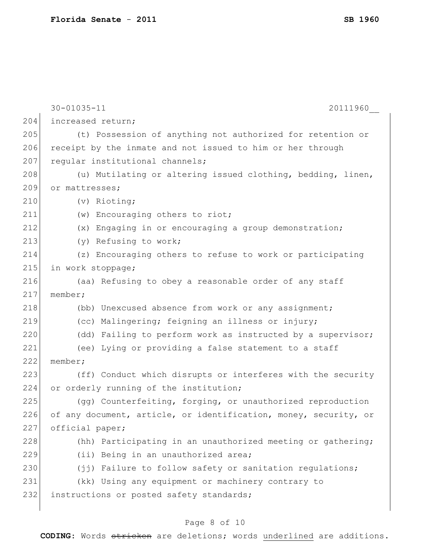|     | $30 - 01035 - 11$<br>20111960                                    |
|-----|------------------------------------------------------------------|
| 204 | increased return;                                                |
| 205 | (t) Possession of anything not authorized for retention or       |
| 206 | receipt by the inmate and not issued to him or her through       |
| 207 | regular institutional channels;                                  |
| 208 | (u) Mutilating or altering issued clothing, bedding, linen,      |
| 209 | or mattresses;                                                   |
| 210 | (v) Rioting;                                                     |
| 211 | (w) Encouraging others to riot;                                  |
| 212 | (x) Engaging in or encouraging a group demonstration;            |
| 213 | (y) Refusing to work;                                            |
| 214 | (z) Encouraging others to refuse to work or participating        |
| 215 | in work stoppage;                                                |
| 216 | (aa) Refusing to obey a reasonable order of any staff            |
| 217 | member;                                                          |
| 218 | (bb) Unexcused absence from work or any assignment;              |
| 219 | (cc) Malingering; feigning an illness or injury;                 |
| 220 | (dd) Failing to perform work as instructed by a supervisor;      |
| 221 | (ee) Lying or providing a false statement to a staff             |
| 222 | member;                                                          |
| 223 | (ff) Conduct which disrupts or interferes with the security      |
| 224 | or orderly running of the institution;                           |
| 225 | (gg) Counterfeiting, forging, or unauthorized reproduction       |
| 226 | of any document, article, or identification, money, security, or |
| 227 | official paper;                                                  |
| 228 | (hh) Participating in an unauthorized meeting or gathering;      |
| 229 | (ii) Being in an unauthorized area;                              |
| 230 | (jj) Failure to follow safety or sanitation regulations;         |
| 231 | (kk) Using any equipment or machinery contrary to                |
| 232 | instructions or posted safety standards;                         |
|     |                                                                  |

## Page 8 of 10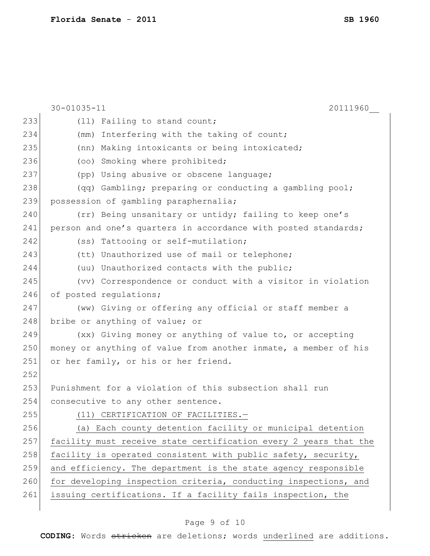|     | $30 - 01035 - 11$<br>20111960                                    |
|-----|------------------------------------------------------------------|
| 233 | (11) Failing to stand count;                                     |
| 234 | Interfering with the taking of count;<br>(mm)                    |
| 235 | (nn) Making intoxicants or being intoxicated;                    |
| 236 | (oo) Smoking where prohibited;                                   |
| 237 | (pp) Using abusive or obscene language;                          |
| 238 | (qq) Gambling; preparing or conducting a gambling pool;          |
| 239 | possession of gambling paraphernalia;                            |
| 240 | (rr) Being unsanitary or untidy; failing to keep one's           |
| 241 | person and one's quarters in accordance with posted standards;   |
| 242 | (ss) Tattooing or self-mutilation;                               |
| 243 | (tt) Unauthorized use of mail or telephone;                      |
| 244 | (uu) Unauthorized contacts with the public;                      |
| 245 | (vv) Correspondence or conduct with a visitor in violation       |
| 246 | of posted regulations;                                           |
| 247 | (ww) Giving or offering any official or staff member a           |
| 248 | bribe or anything of value; or                                   |
| 249 | (xx) Giving money or anything of value to, or accepting          |
| 250 | money or anything of value from another inmate, a member of his  |
| 251 | or her family, or his or her friend.                             |
| 252 |                                                                  |
| 253 | Punishment for a violation of this subsection shall run          |
| 254 | consecutive to any other sentence.                               |
| 255 | (11) CERTIFICATION OF FACILITIES.-                               |
| 256 | (a) Each county detention facility or municipal detention        |
| 257 | facility must receive state certification every 2 years that the |
| 258 | facility is operated consistent with public safety, security,    |
| 259 | and efficiency. The department is the state agency responsible   |
| 260 | for developing inspection criteria, conducting inspections, and  |
| 261 | issuing certifications. If a facility fails inspection, the      |
|     |                                                                  |

## Page 9 of 10